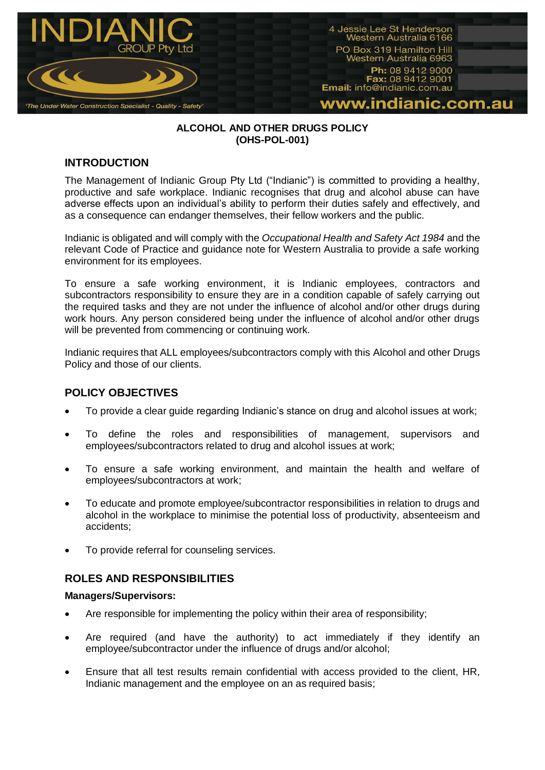

#### **ALCOHOL AND OTHER DRUGS POLICY (OHS-POL-001)**

# **INTRODUCTION**

The Management of Indianic Group Pty Ltd ("Indianic") is committed to providing a healthy, productive and safe workplace. Indianic recognises that drug and alcohol abuse can have adverse effects upon an individual's ability to perform their duties safely and effectively, and as a consequence can endanger themselves, their fellow workers and the public.

Indianic is obligated and will comply with the *Occupational Health and Safety Act 1984* and the relevant Code of Practice and guidance note for Western Australia to provide a safe working environment for its employees.

To ensure a safe working environment, it is Indianic employees, contractors and subcontractors responsibility to ensure they are in a condition capable of safely carrying out the required tasks and they are not under the influence of alcohol and/or other drugs during work hours. Any person considered being under the influence of alcohol and/or other drugs will be prevented from commencing or continuing work.

Indianic requires that ALL employees/subcontractors comply with this Alcohol and other Drugs Policy and those of our clients.

# **POLICY OBJECTIVES**

- To provide a clear guide regarding Indianic's stance on drug and alcohol issues at work;
- To define the roles and responsibilities of management, supervisors and employees/subcontractors related to drug and alcohol issues at work;
- To ensure a safe working environment, and maintain the health and welfare of employees/subcontractors at work;
- To educate and promote employee/subcontractor responsibilities in relation to drugs and alcohol in the workplace to minimise the potential loss of productivity, absenteeism and accidents;
- To provide referral for counseling services.

# **ROLES AND RESPONSIBILITIES**

#### **Managers/Supervisors:**

- Are responsible for implementing the policy within their area of responsibility;
- Are required (and have the authority) to act immediately if they identify an employee/subcontractor under the influence of drugs and/or alcohol;
- Ensure that all test results remain confidential with access provided to the client, HR, Indianic management and the employee on an as required basis;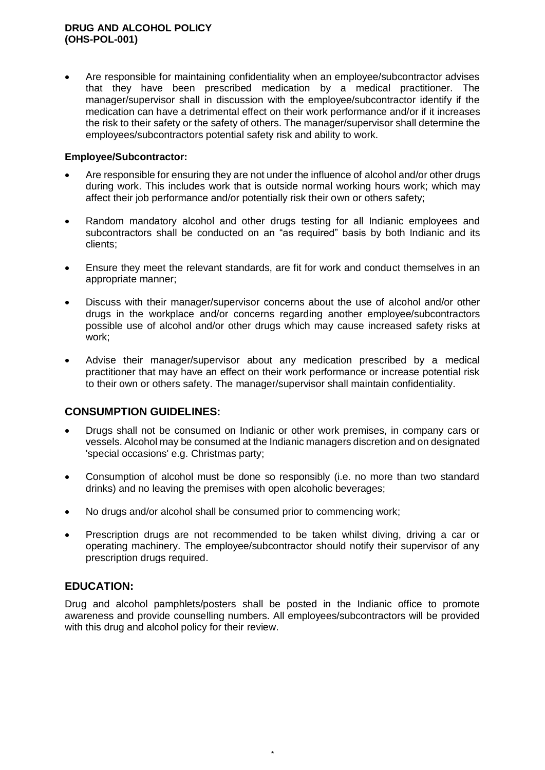#### **DRUG AND ALCOHOL POLICY (OHS-POL-001)**

 Are responsible for maintaining confidentiality when an employee/subcontractor advises that they have been prescribed medication by a medical practitioner. The manager/supervisor shall in discussion with the employee/subcontractor identify if the medication can have a detrimental effect on their work performance and/or if it increases the risk to their safety or the safety of others. The manager/supervisor shall determine the employees/subcontractors potential safety risk and ability to work.

#### **Employee/Subcontractor:**

- Are responsible for ensuring they are not under the influence of alcohol and/or other drugs during work. This includes work that is outside normal working hours work; which may affect their job performance and/or potentially risk their own or others safety;
- Random mandatory alcohol and other drugs testing for all Indianic employees and subcontractors shall be conducted on an "as required" basis by both Indianic and its clients;
- Ensure they meet the relevant standards, are fit for work and conduct themselves in an appropriate manner;
- Discuss with their manager/supervisor concerns about the use of alcohol and/or other drugs in the workplace and/or concerns regarding another employee/subcontractors possible use of alcohol and/or other drugs which may cause increased safety risks at work;
- Advise their manager/supervisor about any medication prescribed by a medical practitioner that may have an effect on their work performance or increase potential risk to their own or others safety. The manager/supervisor shall maintain confidentiality.

# **CONSUMPTION GUIDELINES:**

- Drugs shall not be consumed on Indianic or other work premises, in company cars or vessels. Alcohol may be consumed at the Indianic managers discretion and on designated 'special occasions' e.g. Christmas party;
- Consumption of alcohol must be done so responsibly (i.e. no more than two standard drinks) and no leaving the premises with open alcoholic beverages;
- No drugs and/or alcohol shall be consumed prior to commencing work;
- Prescription drugs are not recommended to be taken whilst diving, driving a car or operating machinery. The employee/subcontractor should notify their supervisor of any prescription drugs required.

# **EDUCATION:**

Drug and alcohol pamphlets/posters shall be posted in the Indianic office to promote awareness and provide counselling numbers. All employees/subcontractors will be provided with this drug and alcohol policy for their review.

*\**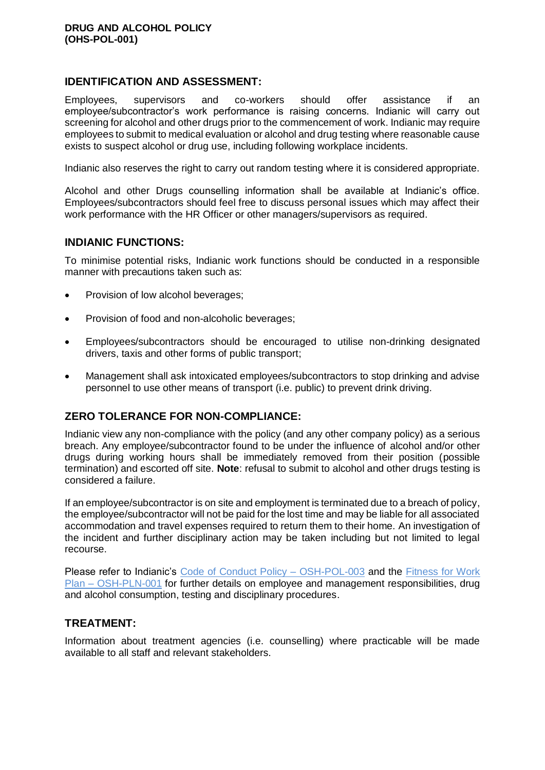### **IDENTIFICATION AND ASSESSMENT:**

Employees, supervisors and co-workers should offer assistance if an employee/subcontractor's work performance is raising concerns. Indianic will carry out screening for alcohol and other drugs prior to the commencement of work. Indianic may require employees to submit to medical evaluation or alcohol and drug testing where reasonable cause exists to suspect alcohol or drug use, including following workplace incidents.

Indianic also reserves the right to carry out random testing where it is considered appropriate.

Alcohol and other Drugs counselling information shall be available at Indianic's office. Employees/subcontractors should feel free to discuss personal issues which may affect their work performance with the HR Officer or other managers/supervisors as required.

#### **INDIANIC FUNCTIONS:**

To minimise potential risks, Indianic work functions should be conducted in a responsible manner with precautions taken such as:

- Provision of low alcohol beverages;
- Provision of food and non-alcoholic beverages;
- Employees/subcontractors should be encouraged to utilise non-drinking designated drivers, taxis and other forms of public transport;
- Management shall ask intoxicated employees/subcontractors to stop drinking and advise personnel to use other means of transport (i.e. public) to prevent drink driving.

# **ZERO TOLERANCE FOR NON-COMPLIANCE:**

Indianic view any non-compliance with the policy (and any other company policy) as a serious breach. Any employee/subcontractor found to be under the influence of alcohol and/or other drugs during working hours shall be immediately removed from their position (possible termination) and escorted off site. **Note**: refusal to submit to alcohol and other drugs testing is considered a failure.

If an employee/subcontractor is on site and employment is terminated due to a breach of policy, the employee/subcontractor will not be paid for the lost time and may be liable for all associated accommodation and travel expenses required to return them to their home. An investigation of the incident and further disciplinary action may be taken including but not limited to legal recourse.

Please refer to Indianic's [Code of Conduct Policy –](file://///INDIANICDC/Forms/Policies,%20Procedures%20&%20Plans/Policies/Code%20of%20Conduct%20Policy%20OSH-POL-003%20Rev%20007.pdf) OSH-POL-003 and the [Fitness for Work](file://///INDIANICDC/Forms/Policies,%20Procedures%20&%20Plans/Plans/Fitness%20for%20Work%20Plan%20OSH-PLN-001%20Rev%20004.pdf)  Plan – [OSH-PLN-001](file://///INDIANICDC/Forms/Policies,%20Procedures%20&%20Plans/Plans/Fitness%20for%20Work%20Plan%20OSH-PLN-001%20Rev%20004.pdf) for further details on employee and management responsibilities, drug and alcohol consumption, testing and disciplinary procedures.

# **TREATMENT:**

Information about treatment agencies (i.e. counselling) where practicable will be made available to all staff and relevant stakeholders.